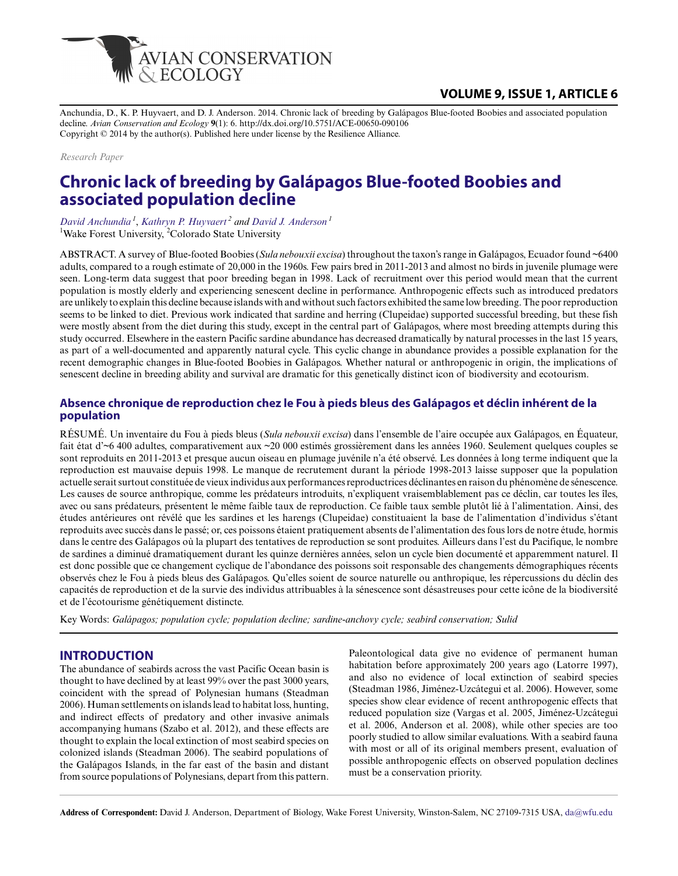

# **VOLUME 9, ISSUE 1, ARTICLE 6**

Anchundia, D., K. P. Huyvaert, and D. J. Anderson. 2014. Chronic lack of breeding by Galápagos Blue-footed Boobies and associated population decline. *Avian Conservation and Ecology* **9**(1): 6. http://dx.doi.org/10.5751/ACE-00650-090106 Copyright © 2014 by the author(s). Published here under license by the Resilience Alliance.

*Research Paper*

# **Chronic lack of breeding by Galápagos Blue-footed Boobies and associated population decline**

*David Anchundia<sup>1</sup>* , *Kathryn P. Huyvaert<sup>2</sup> and David J. Anderson<sup>1</sup>* <sup>1</sup>Wake Forest University, <sup>2</sup>Colorado State University

ABSTRACT. A survey of Blue-footed Boobies (*Sula nebouxii excisa*) throughout the taxon's range in Galápagos, Ecuador found ~6400 adults, compared to a rough estimate of 20,000 in the 1960s. Few pairs bred in 2011-2013 and almost no birds in juvenile plumage were seen. Long-term data suggest that poor breeding began in 1998. Lack of recruitment over this period would mean that the current population is mostly elderly and experiencing senescent decline in performance. Anthropogenic effects such as introduced predators are unlikely to explain this decline because islands with and without such factors exhibited the same low breeding. The poor reproduction seems to be linked to diet. Previous work indicated that sardine and herring (Clupeidae) supported successful breeding, but these fish were mostly absent from the diet during this study, except in the central part of Galápagos, where most breeding attempts during this study occurred. Elsewhere in the eastern Pacific sardine abundance has decreased dramatically by natural processes in the last 15 years, as part of a well-documented and apparently natural cycle. This cyclic change in abundance provides a possible explanation for the recent demographic changes in Blue-footed Boobies in Galápagos. Whether natural or anthropogenic in origin, the implications of senescent decline in breeding ability and survival are dramatic for this genetically distinct icon of biodiversity and ecotourism.

### **Absence chronique de reproduction chez le Fou à pieds bleus des Galápagos et déclin inhérent de la population**

RÉSUMÉ. Un inventaire du Fou à pieds bleus (*Sula nebouxii excisa*) dans l'ensemble de l'aire occupée aux Galápagos, en Équateur, fait état d'~6 400 adultes, comparativement aux ~20 000 estimés grossièrement dans les années 1960. Seulement quelques couples se sont reproduits en 2011-2013 et presque aucun oiseau en plumage juvénile n'a été observé. Les données à long terme indiquent que la reproduction est mauvaise depuis 1998. Le manque de recrutement durant la période 1998-2013 laisse supposer que la population actuelle serait surtout constituée de vieux individus aux performances reproductrices déclinantes en raison du phénomène de sénescence. Les causes de source anthropique, comme les prédateurs introduits, n'expliquent vraisemblablement pas ce déclin, car toutes les îles, avec ou sans prédateurs, présentent le même faible taux de reproduction. Ce faible taux semble plutôt lié à l'alimentation. Ainsi, des études antérieures ont révélé que les sardines et les harengs (Clupeidae) constituaient la base de l'alimentation d'individus s'étant reproduits avec succès dans le passé; or, ces poissons étaient pratiquement absents de l'alimentation des fous lors de notre étude, hormis dans le centre des Galápagos où la plupart des tentatives de reproduction se sont produites. Ailleurs dans l'est du Pacifique, le nombre de sardines a diminué dramatiquement durant les quinze dernières années, selon un cycle bien documenté et apparemment naturel. Il est donc possible que ce changement cyclique de l'abondance des poissons soit responsable des changements démographiques récents observés chez le Fou à pieds bleus des Galápagos. Qu'elles soient de source naturelle ou anthropique, les répercussions du déclin des capacités de reproduction et de la survie des individus attribuables à la sénescence sont désastreuses pour cette icône de la biodiversité et de l'écotourisme génétiquement distincte.

Key Words: *Galápagos; population cycle; population decline; sardine-anchovy cycle; seabird conservation; Sulid*

#### **INTRODUCTION**

The abundance of seabirds across the vast Pacific Ocean basin is thought to have declined by at least 99% over the past 3000 years, coincident with the spread of Polynesian humans (Steadman 2006). Human settlements on islands lead to habitat loss, hunting, and indirect effects of predatory and other invasive animals accompanying humans (Szabo et al. 2012), and these effects are thought to explain the local extinction of most seabird species on colonized islands (Steadman 2006). The seabird populations of the Galápagos Islands, in the far east of the basin and distant from source populations of Polynesians, depart from this pattern. Paleontological data give no evidence of permanent human habitation before approximately 200 years ago (Latorre 1997), and also no evidence of local extinction of seabird species (Steadman 1986, Jiménez-Uzcátegui et al. 2006). However, some species show clear evidence of recent anthropogenic effects that reduced population size (Vargas et al. 2005, Jiménez-Uzcátegui et al. 2006, Anderson et al. 2008), while other species are too poorly studied to allow similar evaluations. With a seabird fauna with most or all of its original members present, evaluation of possible anthropogenic effects on observed population declines must be a conservation priority.

**Address of Correspondent:** David J. Anderson, Department of Biology, Wake Forest University, Winston-Salem, NC 27109-7315 USA, da@wfu.edu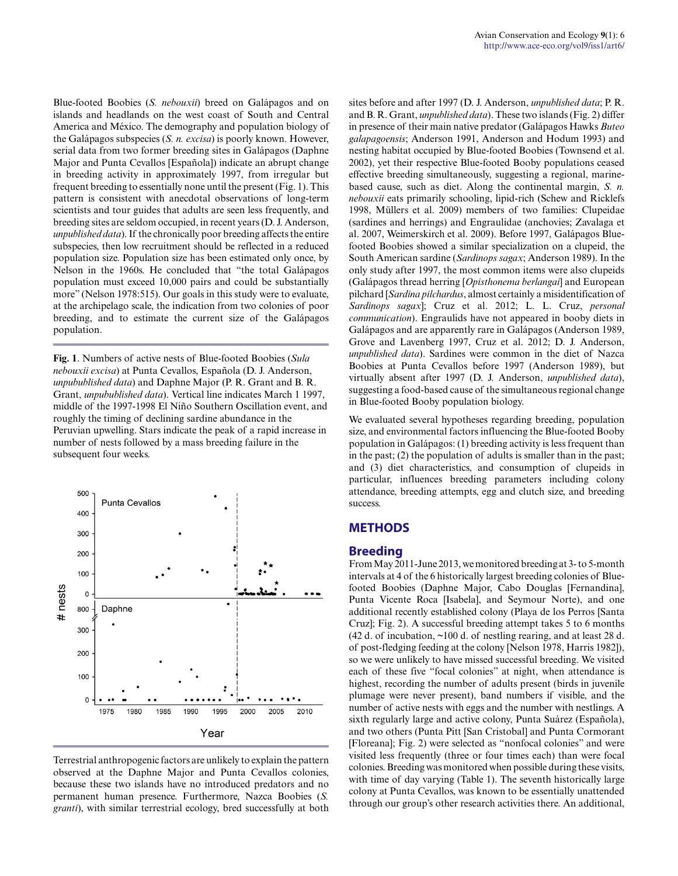Blue-footed Boobies (*S. nebouxii*) breed on Galápagos and on islands and headlands on the west coast of South and Central America and México. The demography and population biology of the Galápagos subspecies (*S. n. excisa*) is poorly known. However, serial data from two former breeding sites in Galápagos (Daphne Major and Punta Cevallos [Española]) indicate an abrupt change in breeding activity in approximately 1997, from irregular but frequent breeding to essentially none until the present (Fig. 1). This pattern is consistent with anecdotal observations of long-term scientists and tour guides that adults are seen less frequently, and breeding sites are seldom occupied, in recent years (D. J. Anderson, *unpublished data*). If the chronically poor breeding affects the entire subspecies, then low recruitment should be reflected in a reduced population size. Population size has been estimated only once, by Nelson in the 1960s. He concluded that "the total Galápagos population must exceed 10,000 pairs and could be substantially more" (Nelson 1978:515). Our goals in this study were to evaluate, at the archipelago scale, the indication from two colonies of poor breeding, and to estimate the current size of the Galápagos population.

**Fig. 1**. Numbers of active nests of Blue-footed Boobies (*Sula nebouxii excisa*) at Punta Cevallos, Española (D. J. Anderson, *unpubublished data*) and Daphne Major (P. R. Grant and B. R. Grant, *unpubublished data*). Vertical line indicates March 1 1997, middle of the 1997-1998 El Niño Southern Oscillation event, and roughly the timing of declining sardine abundance in the Peruvian upwelling. Stars indicate the peak of a rapid increase in number of nests followed by a mass breeding failure in the subsequent four weeks.



Terrestrial anthropogenic factors are unlikely to explain the pattern observed at the Daphne Major and Punta Cevallos colonies, because these two islands have no introduced predators and no permanent human presence. Furthermore, Nazca Boobies (*S. granti*), with similar terrestrial ecology, bred successfully at both

sites before and after 1997 (D. J. Anderson, *unpublished data*; P. R. and B. R. Grant, *unpublished data*). These two islands (Fig. 2) differ in presence of their main native predator (Galápagos Hawks *Buteo galapagoensis*; Anderson 1991, Anderson and Hodum 1993) and nesting habitat occupied by Blue-footed Boobies (Townsend et al. 2002), yet their respective Blue-footed Booby populations ceased effective breeding simultaneously, suggesting a regional, marinebased cause, such as diet. Along the continental margin, *S. n. nebouxii* eats primarily schooling, lipid-rich (Schew and Ricklefs 1998, Müllers et al. 2009) members of two families: Clupeidae (sardines and herrings) and Engraulidae (anchovies; Zavalaga et al. 2007, Weimerskirch et al. 2009). Before 1997, Galápagos Bluefooted Boobies showed a similar specialization on a clupeid, the South American sardine (*Sardinops sagax*; Anderson 1989). In the only study after 1997, the most common items were also clupeids (Galápagos thread herring [*Opisthonema berlangai*] and European pilchard [*Sardina pilchardus*, almost certainly a misidentification of *Sardinops sagax*]; Cruz et al. 2012; L. L. Cruz, *personal communication*). Engraulids have not appeared in booby diets in Galápagos and are apparently rare in Galápagos (Anderson 1989, Grove and Lavenberg 1997, Cruz et al. 2012; D. J. Anderson, *unpublished data*). Sardines were common in the diet of Nazca Boobies at Punta Cevallos before 1997 (Anderson 1989), but virtually absent after 1997 (D. J. Anderson, *unpublished data*), suggesting a food-based cause of the simultaneous regional change in Blue-footed Booby population biology.

We evaluated several hypotheses regarding breeding, population size, and environmental factors influencing the Blue-footed Booby population in Galápagos: (1) breeding activity is less frequent than in the past; (2) the population of adults is smaller than in the past; and (3) diet characteristics, and consumption of clupeids in particular, influences breeding parameters including colony attendance, breeding attempts, egg and clutch size, and breeding success.

#### **METHODS**

#### **Breeding**

From May 2011-June 2013, we monitored breeding at 3- to 5-month intervals at 4 of the 6 historically largest breeding colonies of Bluefooted Boobies (Daphne Major, Cabo Douglas [Fernandina], Punta Vicente Roca [Isabela], and Seymour Norte), and one additional recently established colony (Playa de los Perros [Santa Cruz]; Fig. 2). A successful breeding attempt takes 5 to 6 months (42 d. of incubation, ~100 d. of nestling rearing, and at least 28 d. of post-fledging feeding at the colony [Nelson 1978, Harris 1982]), so we were unlikely to have missed successful breeding. We visited each of these five "focal colonies" at night, when attendance is highest, recording the number of adults present (birds in juvenile plumage were never present), band numbers if visible, and the number of active nests with eggs and the number with nestlings. A sixth regularly large and active colony, Punta Suárez (Española), and two others (Punta Pitt [San Cristobal] and Punta Cormorant [Floreana]; Fig. 2) were selected as "nonfocal colonies" and were visited less frequently (three or four times each) than were focal colonies. Breeding was monitored when possible during these visits, with time of day varying (Table 1). The seventh historically large colony at Punta Cevallos, was known to be essentially unattended through our group's other research activities there. An additional,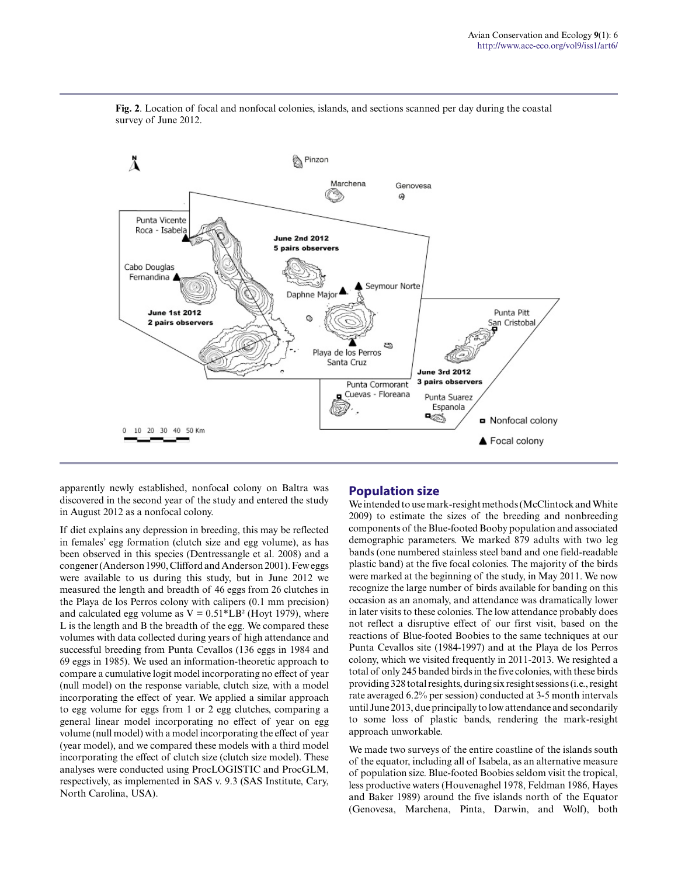

**Fig. 2**. Location of focal and nonfocal colonies, islands, and sections scanned per day during the coastal survey of June 2012.

apparently newly established, nonfocal colony on Baltra was discovered in the second year of the study and entered the study in August 2012 as a nonfocal colony.

If diet explains any depression in breeding, this may be reflected in females' egg formation (clutch size and egg volume), as has been observed in this species (Dentressangle et al. 2008) and a congener (Anderson 1990, Clifford and Anderson 2001). Few eggs were available to us during this study, but in June 2012 we measured the length and breadth of 46 eggs from 26 clutches in the Playa de los Perros colony with calipers (0.1 mm precision) and calculated egg volume as  $V = 0.51*LB^2$  (Hoyt 1979), where L is the length and B the breadth of the egg. We compared these volumes with data collected during years of high attendance and successful breeding from Punta Cevallos (136 eggs in 1984 and 69 eggs in 1985). We used an information-theoretic approach to compare a cumulative logit model incorporating no effect of year (null model) on the response variable, clutch size, with a model incorporating the effect of year. We applied a similar approach to egg volume for eggs from 1 or 2 egg clutches, comparing a general linear model incorporating no effect of year on egg volume (null model) with a model incorporating the effect of year (year model), and we compared these models with a third model incorporating the effect of clutch size (clutch size model). These analyses were conducted using ProcLOGISTIC and ProcGLM, respectively, as implemented in SAS v. 9.3 (SAS Institute, Cary, North Carolina, USA).

### **Population size**

We intended to use mark-resight methods (McClintock and White 2009) to estimate the sizes of the breeding and nonbreeding components of the Blue-footed Booby population and associated demographic parameters. We marked 879 adults with two leg bands (one numbered stainless steel band and one field-readable plastic band) at the five focal colonies. The majority of the birds were marked at the beginning of the study, in May 2011. We now recognize the large number of birds available for banding on this occasion as an anomaly, and attendance was dramatically lower in later visits to these colonies. The low attendance probably does not reflect a disruptive effect of our first visit, based on the reactions of Blue-footed Boobies to the same techniques at our Punta Cevallos site (1984-1997) and at the Playa de los Perros colony, which we visited frequently in 2011-2013. We resighted a total of only 245 banded birds in the five colonies, with these birds providing 328 total resights, during six resight sessions (i.e., resight rate averaged 6.2% per session) conducted at 3-5 month intervals until June 2013, due principally to low attendance and secondarily to some loss of plastic bands, rendering the mark-resight approach unworkable.

We made two surveys of the entire coastline of the islands south of the equator, including all of Isabela, as an alternative measure of population size. Blue-footed Boobies seldom visit the tropical, less productive waters (Houvenaghel 1978, Feldman 1986, Hayes and Baker 1989) around the five islands north of the Equator (Genovesa, Marchena, Pinta, Darwin, and Wolf), both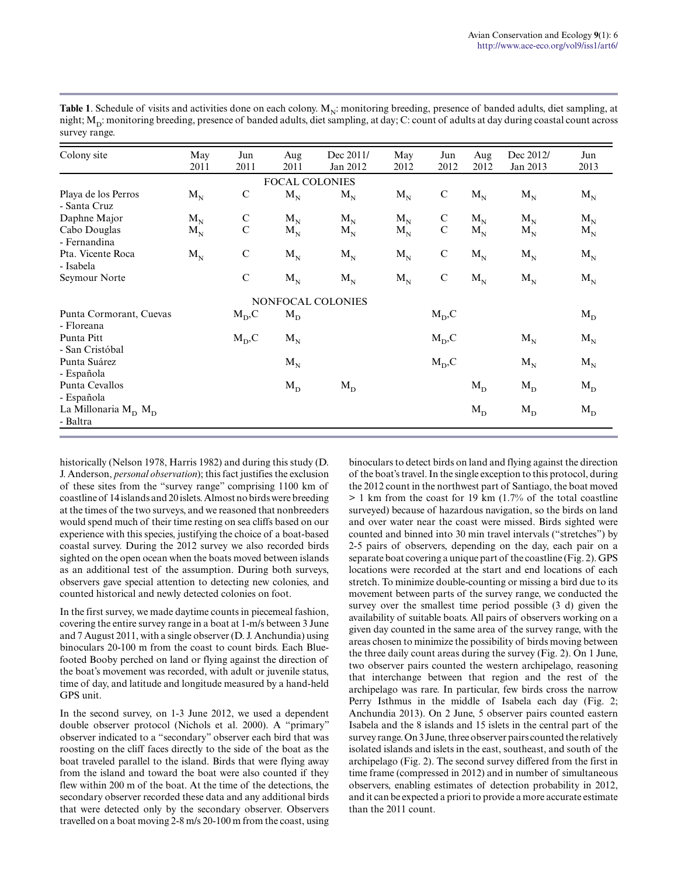| Colony site                           | May<br>2011 | Jun<br>2011  | Aug<br>2011 | Dec 2011/<br>Jan 2012    | May<br>2012 | Jun<br>2012  | Aug<br>2012 | Dec 2012/<br>Jan 2013 | Jun<br>2013 |  |  |  |
|---------------------------------------|-------------|--------------|-------------|--------------------------|-------------|--------------|-------------|-----------------------|-------------|--|--|--|
| <b>FOCAL COLONIES</b>                 |             |              |             |                          |             |              |             |                       |             |  |  |  |
| Playa de los Perros<br>- Santa Cruz   | $M_N$       | $\mathsf{C}$ | $M_N$       | $M_N$                    | $M_N$       | $\mathbf C$  | $M_N$       | $M_N$                 | $M_N$       |  |  |  |
| Daphne Major                          | $M_{N}$     | ${\bf C}$    | $M_{N}$     | $M_{N}$                  | $M_{N}$     | $\mathsf{C}$ | $M_{N}$     | $M_{N}$               | $M_{N}$     |  |  |  |
| Cabo Douglas<br>- Fernandina          | $M_{N}$     | $\mathbf C$  | $M_{N}$     | $M_{N}$                  | $M_{N}$     | $\mathsf{C}$ | $M_{N}$     | $M_{N}$               | $M_{N}$     |  |  |  |
| Pta. Vicente Roca<br>- Isabela        | $M_N$       | $\mathbf C$  | $M_N$       | $M_{N}$                  | $M_{N}$     | $\mathbf C$  | $M_N$       | $M_{N}$               | $M_{N}$     |  |  |  |
| Seymour Norte                         |             | $\mathbf C$  | $M_N$       | $M_{N}$                  | $M_N$       | ${\bf C}$    | $M_N$       | $M_{N}$               | $M_N$       |  |  |  |
|                                       |             |              |             | <b>NONFOCAL COLONIES</b> |             |              |             |                       |             |  |  |  |
| Punta Cormorant, Cuevas<br>- Floreana |             | $M_D, C$     | $M_D$       |                          |             | $M_D, C$     |             |                       | $M_D$       |  |  |  |
| Punta Pitt<br>- San Cristóbal         |             | $M_D, C$     | $M_{N}$     |                          |             | $M_D, C$     |             | $M_N$                 | $M_N$       |  |  |  |
| Punta Suárez<br>- Española            |             |              | $M_N$       |                          |             | $M_D, C$     |             | $M_{N}$               | $M_N$       |  |  |  |
| Punta Cevallos<br>- Española          |             |              | $M_D$       | $M_D$                    |             |              | $M_D$       | $M_D$                 | $M_D$       |  |  |  |
| La Millonaria $M_D$ $M_D$<br>- Baltra |             |              |             |                          |             |              | $M_D$       | $M_D$                 | $M_D$       |  |  |  |

**Table 1**. Schedule of visits and activities done on each colony.  $M_N$ : monitoring breeding, presence of banded adults, diet sampling, at night;  $\rm M_{\rm D}$ : monitoring breeding, presence of banded adults, diet sampling, at day; C: count of adults at day during coastal count across survey range.

historically (Nelson 1978, Harris 1982) and during this study (D. J. Anderson, *personal observation*); this fact justifies the exclusion of these sites from the "survey range" comprising 1100 km of coastline of 14 islands and 20 islets. Almost no birds were breeding at the times of the two surveys, and we reasoned that nonbreeders would spend much of their time resting on sea cliffs based on our experience with this species, justifying the choice of a boat-based coastal survey. During the 2012 survey we also recorded birds sighted on the open ocean when the boats moved between islands as an additional test of the assumption. During both surveys, observers gave special attention to detecting new colonies, and counted historical and newly detected colonies on foot.

In the first survey, we made daytime counts in piecemeal fashion, covering the entire survey range in a boat at 1-m/s between 3 June and 7 August 2011, with a single observer (D. J. Anchundia) using binoculars 20-100 m from the coast to count birds. Each Bluefooted Booby perched on land or flying against the direction of the boat's movement was recorded, with adult or juvenile status, time of day, and latitude and longitude measured by a hand-held GPS unit.

In the second survey, on 1-3 June 2012, we used a dependent double observer protocol (Nichols et al. 2000). A "primary" observer indicated to a "secondary" observer each bird that was roosting on the cliff faces directly to the side of the boat as the boat traveled parallel to the island. Birds that were flying away from the island and toward the boat were also counted if they flew within 200 m of the boat. At the time of the detections, the secondary observer recorded these data and any additional birds that were detected only by the secondary observer. Observers travelled on a boat moving 2-8 m/s 20-100 m from the coast, using binoculars to detect birds on land and flying against the direction of the boat's travel. In the single exception to this protocol, during the 2012 count in the northwest part of Santiago, the boat moved > 1 km from the coast for 19 km (1.7% of the total coastline surveyed) because of hazardous navigation, so the birds on land and over water near the coast were missed. Birds sighted were counted and binned into 30 min travel intervals ("stretches") by 2-5 pairs of observers, depending on the day, each pair on a separate boat covering a unique part of the coastline (Fig. 2). GPS locations were recorded at the start and end locations of each stretch. To minimize double-counting or missing a bird due to its movement between parts of the survey range, we conducted the survey over the smallest time period possible (3 d) given the availability of suitable boats. All pairs of observers working on a given day counted in the same area of the survey range, with the areas chosen to minimize the possibility of birds moving between the three daily count areas during the survey (Fig. 2). On 1 June, two observer pairs counted the western archipelago, reasoning that interchange between that region and the rest of the archipelago was rare. In particular, few birds cross the narrow Perry Isthmus in the middle of Isabela each day (Fig. 2; Anchundia 2013). On 2 June, 5 observer pairs counted eastern Isabela and the 8 islands and 15 islets in the central part of the survey range. On 3 June, three observer pairs counted the relatively isolated islands and islets in the east, southeast, and south of the archipelago (Fig. 2). The second survey differed from the first in time frame (compressed in 2012) and in number of simultaneous observers, enabling estimates of detection probability in 2012, and it can be expected a priori to provide a more accurate estimate than the 2011 count.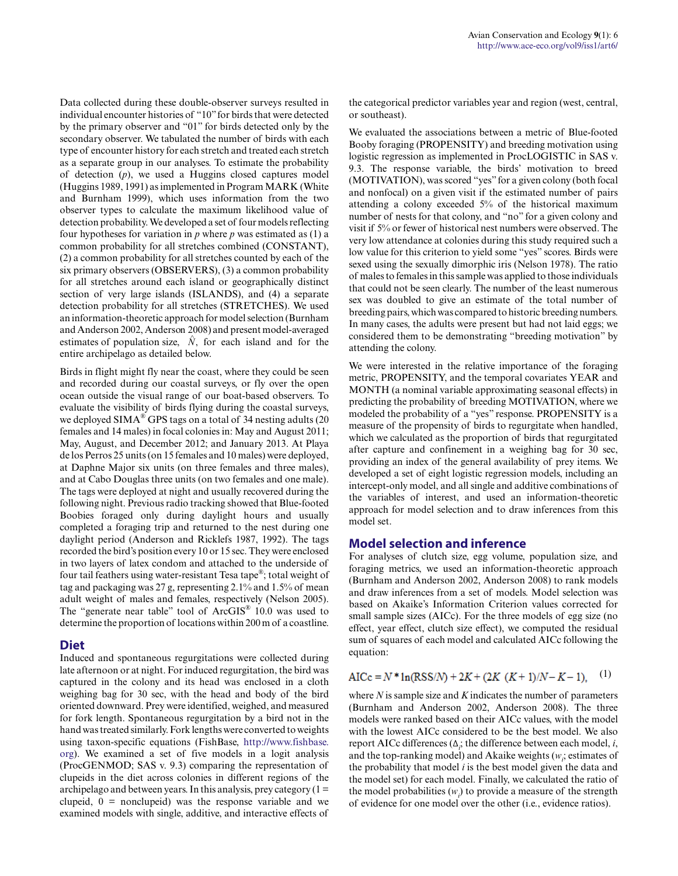Data collected during these double-observer surveys resulted in individual encounter histories of "10" for birds that were detected by the primary observer and "01" for birds detected only by the secondary observer. We tabulated the number of birds with each type of encounter history for each stretch and treated each stretch as a separate group in our analyses. To estimate the probability of detection (*p*), we used a Huggins closed captures model (Huggins 1989, 1991) as implemented in Program MARK (White and Burnham 1999), which uses information from the two observer types to calculate the maximum likelihood value of detection probability. We developed a set of four models reflecting four hypotheses for variation in  $p$  where  $p$  was estimated as (1) a common probability for all stretches combined (CONSTANT), (2) a common probability for all stretches counted by each of the six primary observers (OBSERVERS), (3) a common probability for all stretches around each island or geographically distinct section of very large islands (ISLANDS), and (4) a separate detection probability for all stretches (STRETCHES). We used an information-theoretic approach for model selection (Burnham and Anderson 2002, Anderson 2008) and present model-averaged estimates of population size,  $\hat{N}$ , for each island and for the entire archipelago as detailed below.

Birds in flight might fly near the coast, where they could be seen and recorded during our coastal surveys, or fly over the open ocean outside the visual range of our boat-based observers. To evaluate the visibility of birds flying during the coastal surveys, we deployed SIMA $^{\circledR}$  GPS tags on a total of 34 nesting adults (20 females and 14 males) in focal colonies in: May and August 2011; May, August, and December 2012; and January 2013. At Playa de los Perros 25 units (on 15 females and 10 males) were deployed, at Daphne Major six units (on three females and three males), and at Cabo Douglas three units (on two females and one male). The tags were deployed at night and usually recovered during the following night. Previous radio tracking showed that Blue-footed Boobies foraged only during daylight hours and usually completed a foraging trip and returned to the nest during one daylight period (Anderson and Ricklefs 1987, 1992). The tags recorded the bird's position every 10 or 15 sec. They were enclosed in two layers of latex condom and attached to the underside of four tail feathers using water-resistant Tesa tape®; total weight of tag and packaging was 27 g, representing 2.1% and 1.5% of mean adult weight of males and females, respectively (Nelson 2005). The "generate near table" tool of ArcGIS® 10.0 was used to determine the proportion of locations within 200 m of a coastline.

### **Diet**

Induced and spontaneous regurgitations were collected during late afternoon or at night. For induced regurgitation, the bird was captured in the colony and its head was enclosed in a cloth weighing bag for 30 sec, with the head and body of the bird oriented downward. Prey were identified, weighed, and measured for fork length. Spontaneous regurgitation by a bird not in the hand was treated similarly. Fork lengths were converted to weights using taxon-specific equations (FishBase, http://www.fishbase. org). We examined a set of five models in a logit analysis (ProcGENMOD; SAS v. 9.3) comparing the representation of clupeids in the diet across colonies in different regions of the archipelago and between years. In this analysis, prey category  $(1 =$ clupeid,  $0 =$  nonclupeid) was the response variable and we examined models with single, additive, and interactive effects of

the categorical predictor variables year and region (west, central, or southeast).

We evaluated the associations between a metric of Blue-footed Booby foraging (PROPENSITY) and breeding motivation using logistic regression as implemented in ProcLOGISTIC in SAS v. 9.3. The response variable, the birds' motivation to breed (MOTIVATION), was scored "yes" for a given colony (both focal and nonfocal) on a given visit if the estimated number of pairs attending a colony exceeded 5% of the historical maximum number of nests for that colony, and "no" for a given colony and visit if 5% or fewer of historical nest numbers were observed. The very low attendance at colonies during this study required such a low value for this criterion to yield some "yes" scores. Birds were sexed using the sexually dimorphic iris (Nelson 1978). The ratio of males to females in this sample was applied to those individuals that could not be seen clearly. The number of the least numerous sex was doubled to give an estimate of the total number of breeding pairs, which was compared to historic breeding numbers. In many cases, the adults were present but had not laid eggs; we considered them to be demonstrating "breeding motivation" by attending the colony.

We were interested in the relative importance of the foraging metric, PROPENSITY, and the temporal covariates YEAR and MONTH (a nominal variable approximating seasonal effects) in predicting the probability of breeding MOTIVATION, where we modeled the probability of a "yes" response. PROPENSITY is a measure of the propensity of birds to regurgitate when handled, which we calculated as the proportion of birds that regurgitated after capture and confinement in a weighing bag for 30 sec, providing an index of the general availability of prey items. We developed a set of eight logistic regression models, including an intercept-only model, and all single and additive combinations of the variables of interest, and used an information-theoretic approach for model selection and to draw inferences from this model set.

#### **Model selection and inference**

For analyses of clutch size, egg volume, population size, and foraging metrics, we used an information-theoretic approach (Burnham and Anderson 2002, Anderson 2008) to rank models and draw inferences from a set of models. Model selection was based on Akaike's Information Criterion values corrected for small sample sizes (AICc). For the three models of egg size (no effect, year effect, clutch size effect), we computed the residual sum of squares of each model and calculated AICc following the equation:

$$
AICc = N * ln(RSS/N) + 2K + (2K (K+1)/N - K - 1),
$$
 (1)

where *N* is sample size and *K* indicates the number of parameters (Burnham and Anderson 2002, Anderson 2008). The three models were ranked based on their AICc values, with the model with the lowest AICc considered to be the best model. We also report AICc differences (Δ*<sup>i</sup>* ; the difference between each model, *i*, and the top-ranking model) and Akaike weights  $(w_i)$  estimates of the probability that model *i* is the best model given the data and the model set) for each model. Finally, we calculated the ratio of the model probabilities  $(w_i)$  to provide a measure of the strength of evidence for one model over the other (i.e., evidence ratios).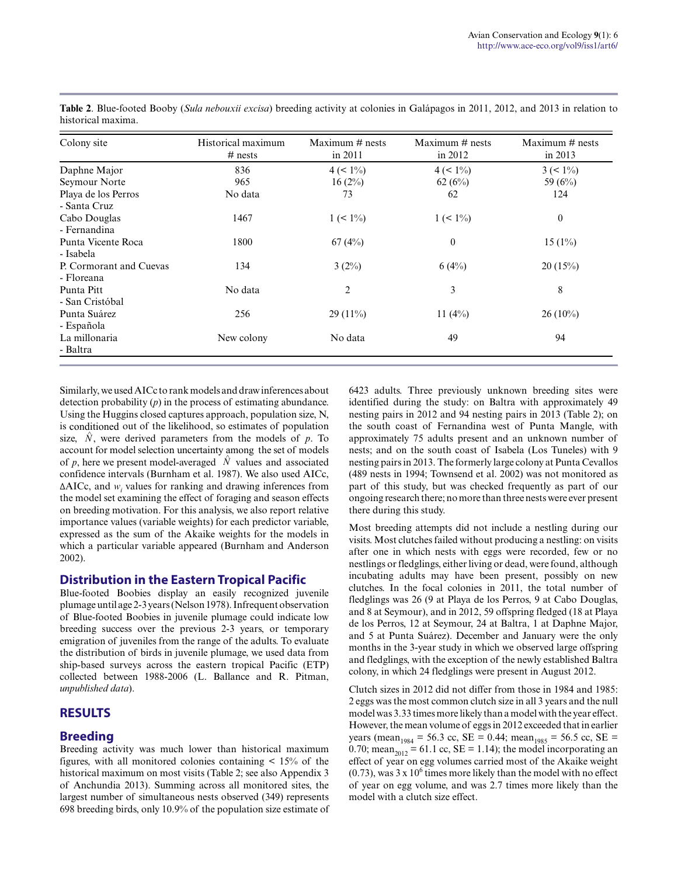| Colony site             | Historical maximum<br>$#$ nests | Maximum $#$ nests<br>in 2011 | Maximum $#$ nests<br>in 2012 | Maximum $#$ nests<br>in 2013 |
|-------------------------|---------------------------------|------------------------------|------------------------------|------------------------------|
| Daphne Major            | 836                             | $4 (< 1\%)$                  | $4 (< 1\%)$                  | $3 (< 1\%)$                  |
| Seymour Norte           | 965                             | 16(2%)                       | 62(6%)                       | 59 (6%)                      |
| Playa de los Perros     | No data                         | 73                           | 62                           | 124                          |
| - Santa Cruz            |                                 |                              |                              |                              |
| Cabo Douglas            | 1467                            | $1 (< 1\%)$                  | $1 (< 1\%)$                  | $\overline{0}$               |
| - Fernandina            |                                 |                              |                              |                              |
| Punta Vicente Roca      | 1800                            | 67(4%)                       | $\boldsymbol{0}$             | $15(1\%)$                    |
| - Isabela               |                                 |                              |                              |                              |
| P. Cormorant and Cuevas | 134                             | $3(2\%)$                     | 6(4%)                        | 20(15%)                      |
| - Floreana              |                                 |                              |                              |                              |
| Punta Pitt              | No data                         | $\overline{2}$               | 3                            | 8                            |
| - San Cristóbal         |                                 |                              |                              |                              |
| Punta Suárez            | 256                             | $29(11\%)$                   | 11 $(4%)$                    | $26(10\%)$                   |
| - Española              |                                 |                              |                              |                              |
| La millonaria           | New colony                      | No data                      | 49                           | 94                           |
| - Baltra                |                                 |                              |                              |                              |

**Table 2**. Blue-footed Booby (*Sula nebouxii excisa*) breeding activity at colonies in Galápagos in 2011, 2012, and 2013 in relation to historical maxima.

Similarly, we used AICc to rank models and draw inferences about detection probability (*p*) in the process of estimating abundance. Using the Huggins closed captures approach, population size, N, is conditioned out of the likelihood, so estimates of population size,  $\hat{N}$ , were derived parameters from the models of  $p$ . To account for model selection uncertainty among the set of models of p, here we present model-averaged  $\hat{N}$  values and associated confidence intervals (Burnham et al. 1987). We also used AICc,  $\triangle$ AICc, and  $w_i$  values for ranking and drawing inferences from the model set examining the effect of foraging and season effects on breeding motivation. For this analysis, we also report relative importance values (variable weights) for each predictor variable, expressed as the sum of the Akaike weights for the models in which a particular variable appeared (Burnham and Anderson 2002).

#### **Distribution in the Eastern Tropical Pacific**

Blue-footed Boobies display an easily recognized juvenile plumage until age 2-3 years (Nelson 1978). Infrequent observation of Blue-footed Boobies in juvenile plumage could indicate low breeding success over the previous 2-3 years, or temporary emigration of juveniles from the range of the adults. To evaluate the distribution of birds in juvenile plumage, we used data from ship-based surveys across the eastern tropical Pacific (ETP) collected between 1988-2006 (L. Ballance and R. Pitman, *unpublished data*).

### **RESULTS**

#### **Breeding**

Breeding activity was much lower than historical maximum figures, with all monitored colonies containing  $\leq 15\%$  of the historical maximum on most visits (Table 2; see also Appendix 3 of Anchundia 2013). Summing across all monitored sites, the largest number of simultaneous nests observed (349) represents 698 breeding birds, only 10.9% of the population size estimate of 6423 adults. Three previously unknown breeding sites were identified during the study: on Baltra with approximately 49 nesting pairs in 2012 and 94 nesting pairs in 2013 (Table 2); on the south coast of Fernandina west of Punta Mangle, with approximately 75 adults present and an unknown number of nests; and on the south coast of Isabela (Los Tuneles) with 9 nesting pairs in 2013. The formerly large colony at Punta Cevallos (489 nests in 1994; Townsend et al. 2002) was not monitored as part of this study, but was checked frequently as part of our ongoing research there; no more than three nests were ever present there during this study.

Most breeding attempts did not include a nestling during our visits. Most clutches failed without producing a nestling: on visits after one in which nests with eggs were recorded, few or no nestlings or fledglings, either living or dead, were found, although incubating adults may have been present, possibly on new clutches. In the focal colonies in 2011, the total number of fledglings was 26 (9 at Playa de los Perros, 9 at Cabo Douglas, and 8 at Seymour), and in 2012, 59 offspring fledged (18 at Playa de los Perros, 12 at Seymour, 24 at Baltra, 1 at Daphne Major, and 5 at Punta Suárez). December and January were the only months in the 3-year study in which we observed large offspring and fledglings, with the exception of the newly established Baltra colony, in which 24 fledglings were present in August 2012.

Clutch sizes in 2012 did not differ from those in 1984 and 1985: 2 eggs was the most common clutch size in all 3 years and the null model was 3.33 times more likely than a model with the year effect. However, the mean volume of eggs in 2012 exceeded that in earlier years (mean<sub>1984</sub> = 56.3 cc, SE = 0.44; mean<sub>1985</sub> = 56.5 cc, SE = 0.70; mean<sub>2012</sub> = 61.1 cc, SE = 1.14); the model incorporating an effect of year on egg volumes carried most of the Akaike weight  $(0.73)$ , was 3 x 10<sup>6</sup> times more likely than the model with no effect of year on egg volume, and was 2.7 times more likely than the model with a clutch size effect.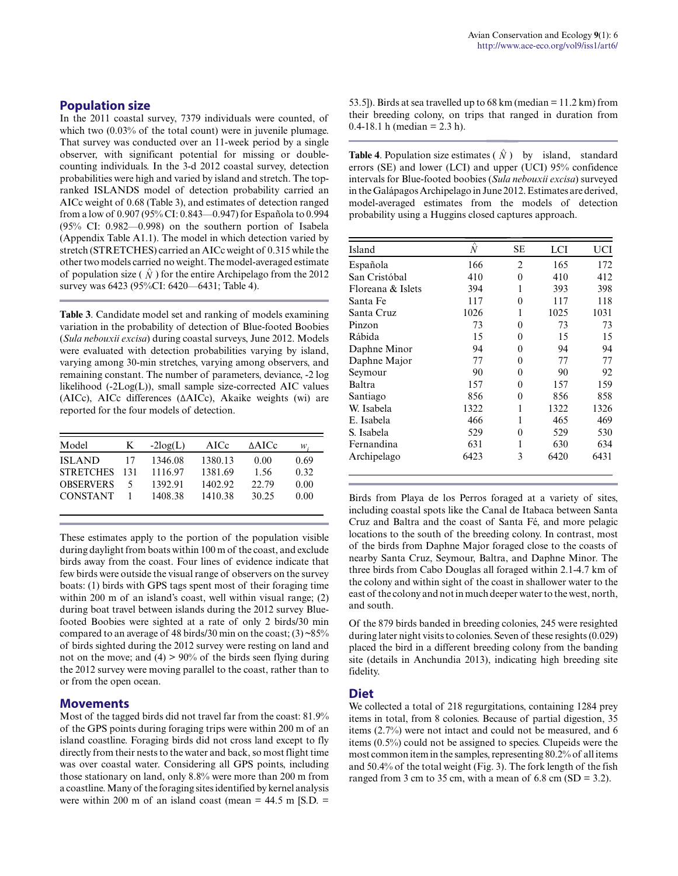In the 2011 coastal survey, 7379 individuals were counted, of which two  $(0.03\%$  of the total count) were in juvenile plumage. That survey was conducted over an 11-week period by a single observer, with significant potential for missing or doublecounting individuals. In the 3-d 2012 coastal survey, detection probabilities were high and varied by island and stretch. The topranked ISLANDS model of detection probability carried an AICc weight of 0.68 (Table 3), and estimates of detection ranged from a low of 0.907 (95% CI: 0.843—0.947) for Española to 0.994 (95% CI: 0.982—0.998) on the southern portion of Isabela (Appendix Table A1.1). The model in which detection varied by stretch (STRETCHES) carried an AICc weight of 0.315 while the other two models carried no weight. The model-averaged estimate of population size ( $\hat{N}$ ) for the entire Archipelago from the 2012 survey was 6423 (95%CI: 6420—6431; Table 4).

**Table 3**. Candidate model set and ranking of models examining variation in the probability of detection of Blue-footed Boobies (*Sula nebouxii excisa*) during coastal surveys, June 2012. Models were evaluated with detection probabilities varying by island, varying among 30-min stretches, varying among observers, and remaining constant. The number of parameters, deviance, -2 log likelihood (-2Log(L)), small sample size-corrected AIC values (AICc), AICc differences (ΔAICc), Akaike weights (wi) are reported for the four models of detection.

| Model            | K   | $-2log(L)$ | AICc    | ∆AICc | w.   |
|------------------|-----|------------|---------|-------|------|
| <b>ISLAND</b>    | 17  | 1346.08    | 1380.13 | 0.00  | 0.69 |
| <b>STRETCHES</b> | 131 | 1116.97    | 1381.69 | 1.56  | 0.32 |
| <b>OBSERVERS</b> |     | 1392.91    | 1402.92 | 22.79 | 0.00 |
| <b>CONSTANT</b>  |     | 1408.38    | 1410.38 | 30.25 | 0.00 |

These estimates apply to the portion of the population visible during daylight from boats within 100 m of the coast, and exclude birds away from the coast. Four lines of evidence indicate that few birds were outside the visual range of observers on the survey boats: (1) birds with GPS tags spent most of their foraging time within 200 m of an island's coast, well within visual range; (2) during boat travel between islands during the 2012 survey Bluefooted Boobies were sighted at a rate of only 2 birds/30 min compared to an average of 48 birds/30 min on the coast;  $(3)$  ~85% of birds sighted during the 2012 survey were resting on land and not on the move; and  $(4) > 90\%$  of the birds seen flying during the 2012 survey were moving parallel to the coast, rather than to or from the open ocean.

#### **Movements**

Most of the tagged birds did not travel far from the coast: 81.9% of the GPS points during foraging trips were within 200 m of an island coastline. Foraging birds did not cross land except to fly directly from their nests to the water and back, so most flight time was over coastal water. Considering all GPS points, including those stationary on land, only 8.8% were more than 200 m from a coastline. Many of the foraging sites identified by kernel analysis were within 200 m of an island coast (mean  $= 44.5$  m [S.D.  $=$  53.5]). Birds at sea travelled up to 68 km (median = 11.2 km) from their breeding colony, on trips that ranged in duration from 0.4-18.1 h (median =  $2.3$  h).

**Table 4.** Population size estimates  $(\hat{N})$  by island, standard errors (SE) and lower (LCI) and upper (UCI) 95% confidence intervals for Blue-footed boobies (*Sula nebouxii excisa*) surveyed in the Galápagos Archipelago in June 2012. Estimates are derived, model-averaged estimates from the models of detection probability using a Huggins closed captures approach.  $(N)$  1<br>pper (<br>*ula nel*<br>e2012.<br>the r<br>capture

| Island            | $\overline{\wedge}$<br>Ń | SЕ             | LCI  | UCI  |
|-------------------|--------------------------|----------------|------|------|
| Española          | 166                      | $\overline{2}$ | 165  | 172  |
| San Cristóbal     | 410                      | $\Omega$       | 410  | 412  |
| Floreana & Islets | 394                      | 1              | 393  | 398  |
| Santa Fe          | 117                      | 0              | 117  | 118  |
| Santa Cruz        | 1026                     | 1              | 1025 | 1031 |
| Pinzon            | 73                       | $\theta$       | 73   | 73   |
| Rábida            | 15                       | $\Omega$       | 15   | 15   |
| Daphne Minor      | 94                       | 0              | 94   | 94   |
| Daphne Major      | 77                       | 0              | 77   | 77   |
| Seymour           | 90                       | 0              | 90   | 92   |
| Baltra            | 157                      | 0              | 157  | 159  |
| Santiago          | 856                      | 0              | 856  | 858  |
| W. Isabela        | 1322                     | 1              | 1322 | 1326 |
| E. Isabela        | 466                      | 1              | 465  | 469  |
| S. Isabela        | 529                      | 0              | 529  | 530  |
| Fernandina        | 631                      |                | 630  | 634  |
| Archipelago       | 6423                     | 3              | 6420 | 6431 |

Birds from Playa de los Perros foraged at a variety of sites, including coastal spots like the Canal de Itabaca between Santa Cruz and Baltra and the coast of Santa Fé, and more pelagic locations to the south of the breeding colony. In contrast, most of the birds from Daphne Major foraged close to the coasts of nearby Santa Cruz, Seymour, Baltra, and Daphne Minor. The three birds from Cabo Douglas all foraged within 2.1-4.7 km of the colony and within sight of the coast in shallower water to the east of the colony and not in much deeper water to the west, north, and south.

Of the 879 birds banded in breeding colonies, 245 were resighted during later night visits to colonies. Seven of these resights (0.029) placed the bird in a different breeding colony from the banding site (details in Anchundia 2013), indicating high breeding site fidelity.

#### **Diet**

We collected a total of 218 regurgitations, containing 1284 prey items in total, from 8 colonies. Because of partial digestion, 35 items (2.7%) were not intact and could not be measured, and 6 items (0.5%) could not be assigned to species. Clupeids were the most common item in the samples, representing 80.2% of all items and 50.4% of the total weight (Fig. 3). The fork length of the fish ranged from 3 cm to 35 cm, with a mean of 6.8 cm  $(SD = 3.2)$ .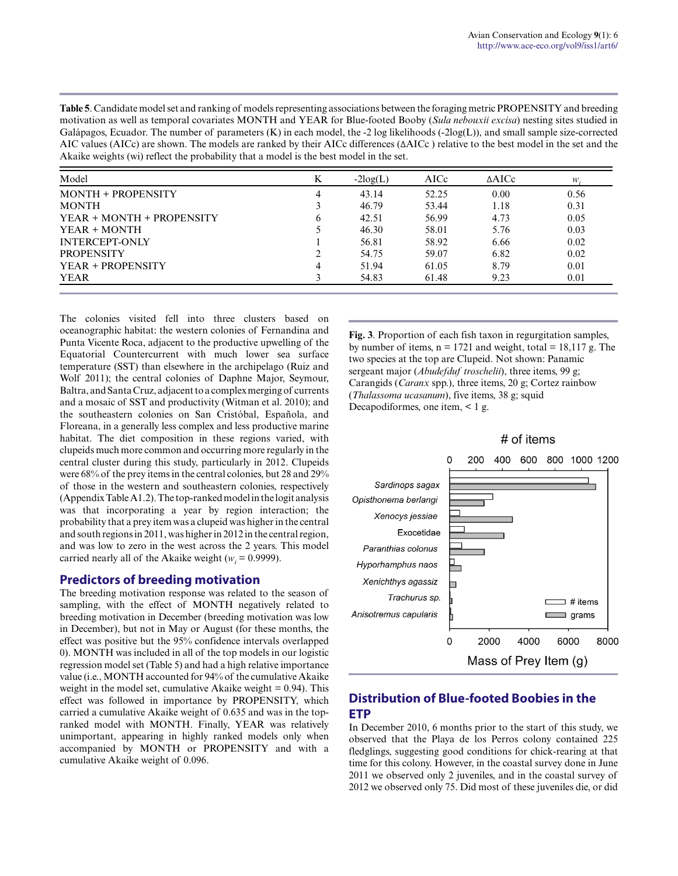**Table 5**. Candidate model set and ranking of models representing associations between the foraging metric PROPENSITY and breeding motivation as well as temporal covariates MONTH and YEAR for Blue-footed Booby (*Sula nebouxii excisa*) nesting sites studied in Galápagos, Ecuador. The number of parameters  $(K)$  in each model, the -2 log likelihoods (-2log $(L)$ ), and small sample size-corrected AIC values (AICc) are shown. The models are ranked by their AICc differences (ΔAICc ) relative to the best model in the set and the Akaike weights (wi) reflect the probability that a model is the best model in the set.

| Model                     | K            | $-2log(L)$ | AICc  | $\triangle$ AICc | w.   |
|---------------------------|--------------|------------|-------|------------------|------|
| <b>MONTH + PROPENSITY</b> | 4            | 43.14      | 52.25 | 0.00             | 0.56 |
| <b>MONTH</b>              |              | 46.79      | 53.44 | 1.18             | 0.31 |
| YEAR + MONTH + PROPENSITY | <sub>b</sub> | 42.51      | 56.99 | 4.73             | 0.05 |
| YEAR + MONTH              |              | 46.30      | 58.01 | 5.76             | 0.03 |
| <b>INTERCEPT-ONLY</b>     |              | 56.81      | 58.92 | 6.66             | 0.02 |
| <b>PROPENSITY</b>         | ∍            | 54.75      | 59.07 | 6.82             | 0.02 |
| YEAR + PROPENSITY         | 4            | 51.94      | 61.05 | 8.79             | 0.01 |
| <b>YEAR</b>               |              | 54.83      | 61.48 | 9.23             | 0.01 |

The colonies visited fell into three clusters based on oceanographic habitat: the western colonies of Fernandina and Punta Vicente Roca, adjacent to the productive upwelling of the Equatorial Countercurrent with much lower sea surface temperature (SST) than elsewhere in the archipelago (Ruiz and Wolf 2011); the central colonies of Daphne Major, Seymour, Baltra, and Santa Cruz, adjacent to a complex merging of currents and a mosaic of SST and productivity (Witman et al. 2010); and the southeastern colonies on San Cristóbal, Española, and Floreana, in a generally less complex and less productive marine habitat. The diet composition in these regions varied, with clupeids much more common and occurring more regularly in the central cluster during this study, particularly in 2012. Clupeids were 68% of the prey items in the central colonies, but 28 and 29% of those in the western and southeastern colonies, respectively (Appendix Table A1.2). The top-ranked model in the logit analysis was that incorporating a year by region interaction; the probability that a prey item was a clupeid was higher in the central and south regions in 2011, was higher in 2012 in the central region, and was low to zero in the west across the 2 years. This model carried nearly all of the Akaike weight ( $w_i = 0.9999$ ).

#### **Predictors of breeding motivation**

The breeding motivation response was related to the season of sampling, with the effect of MONTH negatively related to breeding motivation in December (breeding motivation was low in December), but not in May or August (for these months, the effect was positive but the 95% confidence intervals overlapped 0). MONTH was included in all of the top models in our logistic regression model set (Table 5) and had a high relative importance value (i.e., MONTH accounted for 94% of the cumulative Akaike weight in the model set, cumulative Akaike weight  $= 0.94$ ). This effect was followed in importance by PROPENSITY, which carried a cumulative Akaike weight of 0.635 and was in the topranked model with MONTH. Finally, YEAR was relatively unimportant, appearing in highly ranked models only when accompanied by MONTH or PROPENSITY and with a cumulative Akaike weight of 0.096.

**Fig. 3**. Proportion of each fish taxon in regurgitation samples, by number of items,  $n = 1721$  and weight, total = 18,117 g. The two species at the top are Clupeid. Not shown: Panamic sergeant major (*Abudefduf troschelii*), three items, 99 g; Carangids (*Caranx* spp.), three items, 20 g; Cortez rainbow (*Thalassoma ucasanum*), five items, 38 g; squid Decapodiformes, one item, < 1 g.

# of items



# **Distribution of Blue-footed Boobies in the ETP**

In December 2010, 6 months prior to the start of this study, we observed that the Playa de los Perros colony contained 225 fledglings, suggesting good conditions for chick-rearing at that time for this colony. However, in the coastal survey done in June 2011 we observed only 2 juveniles, and in the coastal survey of 2012 we observed only 75. Did most of these juveniles die, or did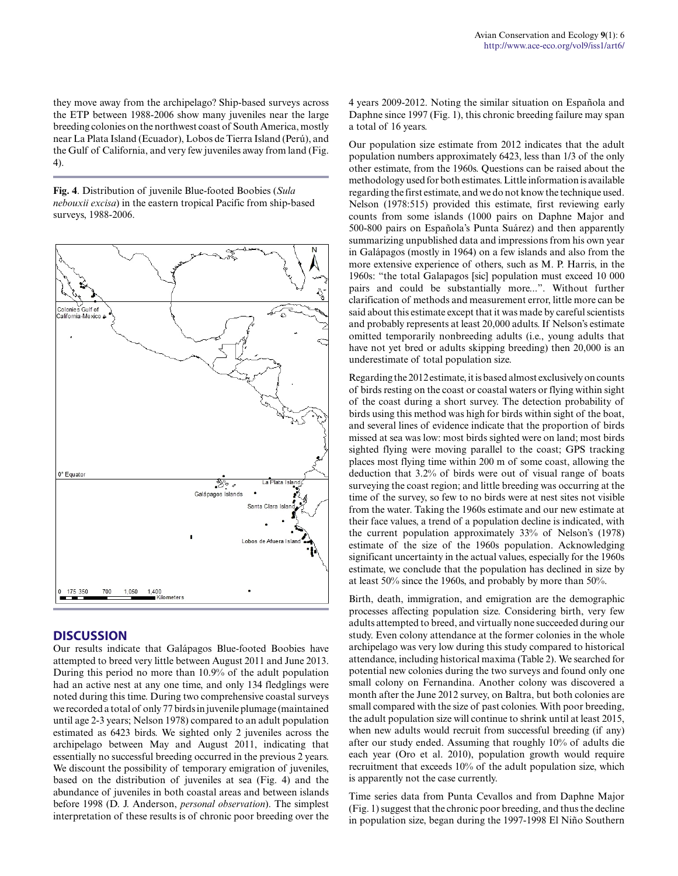they move away from the archipelago? Ship-based surveys across the ETP between 1988-2006 show many juveniles near the large breeding colonies on the northwest coast of South America, mostly near La Plata Island (Ecuador), Lobos de Tierra Island (Perú), and the Gulf of California, and very few juveniles away from land (Fig. 4).

**Fig. 4**. Distribution of juvenile Blue-footed Boobies (*Sula nebouxii excisa*) in the eastern tropical Pacific from ship-based surveys, 1988-2006.



### **DISCUSSION**

Our results indicate that Galápagos Blue-footed Boobies have attempted to breed very little between August 2011 and June 2013. During this period no more than 10.9% of the adult population had an active nest at any one time, and only 134 fledglings were noted during this time. During two comprehensive coastal surveys we recorded a total of only 77 birds in juvenile plumage (maintained until age 2-3 years; Nelson 1978) compared to an adult population estimated as 6423 birds. We sighted only 2 juveniles across the archipelago between May and August 2011, indicating that essentially no successful breeding occurred in the previous 2 years. We discount the possibility of temporary emigration of juveniles, based on the distribution of juveniles at sea (Fig. 4) and the abundance of juveniles in both coastal areas and between islands before 1998 (D. J. Anderson, *personal observation*). The simplest interpretation of these results is of chronic poor breeding over the 4 years 2009-2012. Noting the similar situation on Española and Daphne since 1997 (Fig. 1), this chronic breeding failure may span a total of 16 years.

Our population size estimate from 2012 indicates that the adult population numbers approximately 6423, less than 1/3 of the only other estimate, from the 1960s. Questions can be raised about the methodology used for both estimates. Little information is available regarding the first estimate, and we do not know the technique used. Nelson (1978:515) provided this estimate, first reviewing early counts from some islands (1000 pairs on Daphne Major and 500-800 pairs on Española's Punta Suárez) and then apparently summarizing unpublished data and impressions from his own year in Galápagos (mostly in 1964) on a few islands and also from the more extensive experience of others, such as M. P. Harris, in the 1960s: "the total Galapagos [sic] population must exceed 10 000 pairs and could be substantially more...". Without further clarification of methods and measurement error, little more can be said about this estimate except that it was made by careful scientists and probably represents at least 20,000 adults. If Nelson's estimate omitted temporarily nonbreeding adults (i.e., young adults that have not yet bred or adults skipping breeding) then 20,000 is an underestimate of total population size.

Regarding the 2012 estimate, it is based almost exclusively on counts of birds resting on the coast or coastal waters or flying within sight of the coast during a short survey. The detection probability of birds using this method was high for birds within sight of the boat, and several lines of evidence indicate that the proportion of birds missed at sea was low: most birds sighted were on land; most birds sighted flying were moving parallel to the coast; GPS tracking places most flying time within 200 m of some coast, allowing the deduction that 3.2% of birds were out of visual range of boats surveying the coast region; and little breeding was occurring at the time of the survey, so few to no birds were at nest sites not visible from the water. Taking the 1960s estimate and our new estimate at their face values, a trend of a population decline is indicated, with the current population approximately 33% of Nelson's (1978) estimate of the size of the 1960s population. Acknowledging significant uncertainty in the actual values, especially for the 1960s estimate, we conclude that the population has declined in size by at least 50% since the 1960s, and probably by more than 50%.

Birth, death, immigration, and emigration are the demographic processes affecting population size. Considering birth, very few adults attempted to breed, and virtually none succeeded during our study. Even colony attendance at the former colonies in the whole archipelago was very low during this study compared to historical attendance, including historical maxima (Table 2). We searched for potential new colonies during the two surveys and found only one small colony on Fernandina. Another colony was discovered a month after the June 2012 survey, on Baltra, but both colonies are small compared with the size of past colonies. With poor breeding, the adult population size will continue to shrink until at least 2015, when new adults would recruit from successful breeding (if any) after our study ended. Assuming that roughly 10% of adults die each year (Oro et al. 2010), population growth would require recruitment that exceeds 10% of the adult population size, which is apparently not the case currently.

Time series data from Punta Cevallos and from Daphne Major (Fig. 1) suggest that the chronic poor breeding, and thus the decline in population size, began during the 1997-1998 El Niño Southern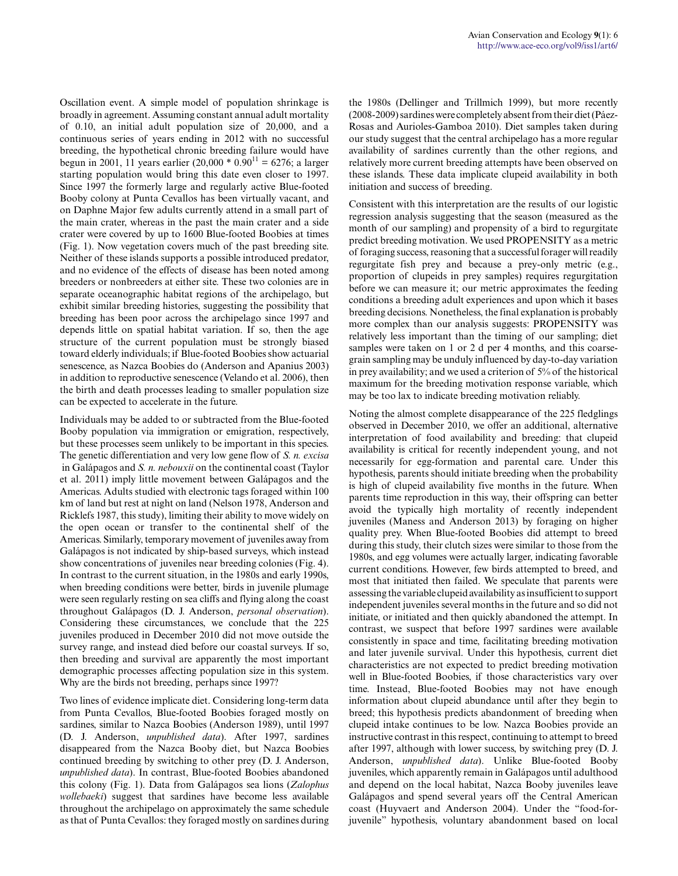Oscillation event. A simple model of population shrinkage is broadly in agreement. Assuming constant annual adult mortality of 0.10, an initial adult population size of 20,000, and a continuous series of years ending in 2012 with no successful breeding, the hypothetical chronic breeding failure would have begun in 2001, 11 years earlier (20,000  $*$  0.90<sup>11</sup> = 6276; a larger starting population would bring this date even closer to 1997. Since 1997 the formerly large and regularly active Blue-footed Booby colony at Punta Cevallos has been virtually vacant, and on Daphne Major few adults currently attend in a small part of the main crater, whereas in the past the main crater and a side crater were covered by up to 1600 Blue-footed Boobies at times (Fig. 1). Now vegetation covers much of the past breeding site. Neither of these islands supports a possible introduced predator, and no evidence of the effects of disease has been noted among breeders or nonbreeders at either site. These two colonies are in separate oceanographic habitat regions of the archipelago, but exhibit similar breeding histories, suggesting the possibility that breeding has been poor across the archipelago since 1997 and depends little on spatial habitat variation. If so, then the age structure of the current population must be strongly biased toward elderly individuals; if Blue-footed Boobies show actuarial senescence, as Nazca Boobies do (Anderson and Apanius 2003) in addition to reproductive senescence (Velando et al. 2006), then the birth and death processes leading to smaller population size can be expected to accelerate in the future.

Individuals may be added to or subtracted from the Blue-footed Booby population via immigration or emigration, respectively, but these processes seem unlikely to be important in this species. The genetic differentiation and very low gene flow of *S. n. excisa* in Galápagos and *S. n. nebouxii* on the continental coast (Taylor et al. 2011) imply little movement between Galápagos and the Americas. Adults studied with electronic tags foraged within 100 km of land but rest at night on land (Nelson 1978, Anderson and Ricklefs 1987, this study), limiting their ability to move widely on the open ocean or transfer to the continental shelf of the Americas. Similarly, temporary movement of juveniles away from Galápagos is not indicated by ship-based surveys, which instead show concentrations of juveniles near breeding colonies (Fig. 4). In contrast to the current situation, in the 1980s and early 1990s, when breeding conditions were better, birds in juvenile plumage were seen regularly resting on sea cliffs and flying along the coast throughout Galápagos (D. J. Anderson, *personal observation*). Considering these circumstances, we conclude that the 225 juveniles produced in December 2010 did not move outside the survey range, and instead died before our coastal surveys. If so, then breeding and survival are apparently the most important demographic processes affecting population size in this system. Why are the birds not breeding, perhaps since 1997?

Two lines of evidence implicate diet. Considering long-term data from Punta Cevallos, Blue-footed Boobies foraged mostly on sardines, similar to Nazca Boobies (Anderson 1989), until 1997 (D. J. Anderson, *unpublished data*). After 1997, sardines disappeared from the Nazca Booby diet, but Nazca Boobies continued breeding by switching to other prey (D. J. Anderson, *unpublished data*). In contrast, Blue-footed Boobies abandoned this colony (Fig. 1). Data from Galápagos sea lions (*Zalophus wollebaeki*) suggest that sardines have become less available throughout the archipelago on approximately the same schedule as that of Punta Cevallos: they foraged mostly on sardines during the 1980s (Dellinger and Trillmich 1999), but more recently (2008-2009) sardines were completely absent from their diet (Páez-Rosas and Aurioles-Gamboa 2010). Diet samples taken during our study suggest that the central archipelago has a more regular availability of sardines currently than the other regions, and relatively more current breeding attempts have been observed on these islands. These data implicate clupeid availability in both initiation and success of breeding.

Consistent with this interpretation are the results of our logistic regression analysis suggesting that the season (measured as the month of our sampling) and propensity of a bird to regurgitate predict breeding motivation. We used PROPENSITY as a metric of foraging success, reasoning that a successful forager will readily regurgitate fish prey and because a prey-only metric (e.g., proportion of clupeids in prey samples) requires regurgitation before we can measure it; our metric approximates the feeding conditions a breeding adult experiences and upon which it bases breeding decisions. Nonetheless, the final explanation is probably more complex than our analysis suggests: PROPENSITY was relatively less important than the timing of our sampling; diet samples were taken on 1 or 2 d per 4 months, and this coarsegrain sampling may be unduly influenced by day-to-day variation in prey availability; and we used a criterion of 5% of the historical maximum for the breeding motivation response variable, which may be too lax to indicate breeding motivation reliably.

Noting the almost complete disappearance of the 225 fledglings observed in December 2010, we offer an additional, alternative interpretation of food availability and breeding: that clupeid availability is critical for recently independent young, and not necessarily for egg-formation and parental care. Under this hypothesis, parents should initiate breeding when the probability is high of clupeid availability five months in the future. When parents time reproduction in this way, their offspring can better avoid the typically high mortality of recently independent juveniles (Maness and Anderson 2013) by foraging on higher quality prey. When Blue-footed Boobies did attempt to breed during this study, their clutch sizes were similar to those from the 1980s, and egg volumes were actually larger, indicating favorable current conditions. However, few birds attempted to breed, and most that initiated then failed. We speculate that parents were assessing the variable clupeid availability as insufficient to support independent juveniles several months in the future and so did not initiate, or initiated and then quickly abandoned the attempt. In contrast, we suspect that before 1997 sardines were available consistently in space and time, facilitating breeding motivation and later juvenile survival. Under this hypothesis, current diet characteristics are not expected to predict breeding motivation well in Blue-footed Boobies, if those characteristics vary over time. Instead, Blue-footed Boobies may not have enough information about clupeid abundance until after they begin to breed; this hypothesis predicts abandonment of breeding when clupeid intake continues to be low. Nazca Boobies provide an instructive contrast in this respect, continuing to attempt to breed after 1997, although with lower success, by switching prey (D. J. Anderson, *unpublished data*). Unlike Blue-footed Booby juveniles, which apparently remain in Galápagos until adulthood and depend on the local habitat, Nazca Booby juveniles leave Galápagos and spend several years off the Central American coast (Huyvaert and Anderson 2004). Under the "food-forjuvenile" hypothesis, voluntary abandonment based on local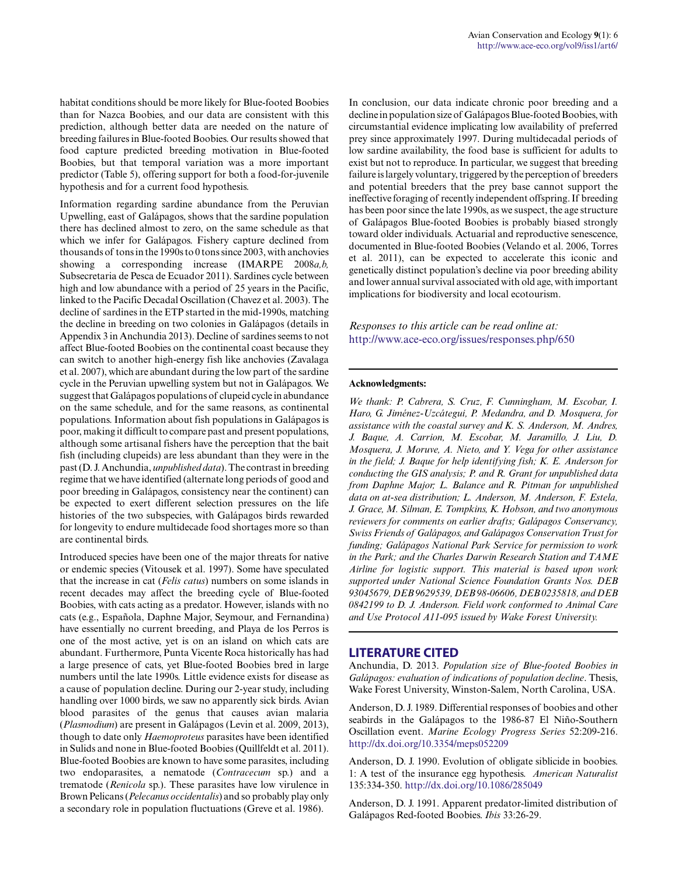habitat conditions should be more likely for Blue-footed Boobies than for Nazca Boobies, and our data are consistent with this prediction, although better data are needed on the nature of breeding failures in Blue-footed Boobies. Our results showed that food capture predicted breeding motivation in Blue-footed Boobies, but that temporal variation was a more important predictor (Table 5), offering support for both a food-for-juvenile hypothesis and for a current food hypothesis.

Information regarding sardine abundance from the Peruvian Upwelling, east of Galápagos, shows that the sardine population there has declined almost to zero, on the same schedule as that which we infer for Galápagos. Fishery capture declined from thousands of tons in the 1990s to 0 tons since 2003, with anchovies showing a corresponding increase (IMARPE 2008*a,b,* Subsecretaria de Pesca de Ecuador 2011). Sardines cycle between high and low abundance with a period of 25 years in the Pacific, linked to the Pacific Decadal Oscillation (Chavez et al. 2003). The decline of sardines in the ETP started in the mid-1990s, matching the decline in breeding on two colonies in Galápagos (details in Appendix 3 in Anchundia 2013). Decline of sardines seems to not affect Blue-footed Boobies on the continental coast because they can switch to another high-energy fish like anchovies (Zavalaga et al. 2007), which are abundant during the low part of the sardine cycle in the Peruvian upwelling system but not in Galápagos. We suggest that Galápagos populations of clupeid cycle in abundance on the same schedule, and for the same reasons, as continental populations. Information about fish populations in Galápagos is poor, making it difficult to compare past and present populations, although some artisanal fishers have the perception that the bait fish (including clupeids) are less abundant than they were in the past (D. J. Anchundia, *unpublished data*). The contrast in breeding regime that we have identified (alternate long periods of good and poor breeding in Galápagos, consistency near the continent) can be expected to exert different selection pressures on the life histories of the two subspecies, with Galápagos birds rewarded for longevity to endure multidecade food shortages more so than are continental birds.

Introduced species have been one of the major threats for native or endemic species (Vitousek et al. 1997). Some have speculated that the increase in cat (*Felis catus*) numbers on some islands in recent decades may affect the breeding cycle of Blue-footed Boobies, with cats acting as a predator. However, islands with no cats (e.g., Española, Daphne Major, Seymour, and Fernandina) have essentially no current breeding, and Playa de los Perros is one of the most active, yet is on an island on which cats are abundant. Furthermore, Punta Vicente Roca historically has had a large presence of cats, yet Blue-footed Boobies bred in large numbers until the late 1990s. Little evidence exists for disease as a cause of population decline. During our 2-year study, including handling over 1000 birds, we saw no apparently sick birds. Avian blood parasites of the genus that causes avian malaria (*Plasmodium*) are present in Galápagos (Levin et al. 2009, 2013), though to date only *Haemoproteus* parasites have been identified in Sulids and none in Blue-footed Boobies (Quillfeldt et al. 2011). Blue-footed Boobies are known to have some parasites, including two endoparasites, a nematode (*Contracecum* sp.) and a trematode (*Renicola* sp.). These parasites have low virulence in Brown Pelicans (*Pelecanus occidentalis*) and so probably play only a secondary role in population fluctuations (Greve et al. 1986).

In conclusion, our data indicate chronic poor breeding and a decline in population size of Galápagos Blue-footed Boobies, with circumstantial evidence implicating low availability of preferred prey since approximately 1997. During multidecadal periods of low sardine availability, the food base is sufficient for adults to exist but not to reproduce. In particular, we suggest that breeding failure is largely voluntary, triggered by the perception of breeders and potential breeders that the prey base cannot support the ineffective foraging of recently independent offspring. If breeding has been poor since the late 1990s, as we suspect, the age structure of Galápagos Blue-footed Boobies is probably biased strongly toward older individuals. Actuarial and reproductive senescence, documented in Blue-footed Boobies (Velando et al. 2006, Torres et al. 2011), can be expected to accelerate this iconic and genetically distinct population's decline via poor breeding ability and lower annual survival associated with old age, with important implications for biodiversity and local ecotourism.

*Responses to this article can be read online at:* http://www.ace-eco.org/issues/responses.php/650

#### **Acknowledgments:**

*We thank: P. Cabrera, S. Cruz, F. Cunningham, M. Escobar, I. Haro, G. Jiménez-Uzcátegui, P. Medandra, and D. Mosquera, for assistance with the coastal survey and K. S. Anderson, M. Andres, J. Baque, A. Carrion, M. Escobar, M. Jaramillo, J. Liu, D. Mosquera, J. Moruve, A. Nieto, and Y. Vega for other assistance in the field; J. Baque for help identifying fish; K. E. Anderson for conducting the GIS analysis; P. and R. Grant for unpublished data from Daphne Major; L. Balance and R. Pitman for unpublished data on at-sea distribution; L. Anderson, M. Anderson, F. Estela, J. Grace, M. Silman, E. Tompkins, K. Hobson, and two anonymous reviewers for comments on earlier drafts; Galápagos Conservancy, Swiss Friends of Galápagos, and Galápagos Conservation Trust for funding; Galápagos National Park Service for permission to work in the Park; and the Charles Darwin Research Station and TAME Airline for logistic support. This material is based upon work supported under National Science Foundation Grants Nos. DEB 93045679, DEB 9629539, DEB 98-06606, DEB 0235818, and DEB 0842199 to D. J. Anderson. Field work conformed to Animal Care and Use Protocol A11-095 issued by Wake Forest University.*

#### **LITERATURE CITED**

Anchundia, D. 2013. *Population size of Blue-footed Boobies in Galápagos: evaluation of indications of population decline*. Thesis, Wake Forest University, Winston-Salem, North Carolina, USA.

Anderson, D. J. 1989. Differential responses of boobies and other seabirds in the Galápagos to the 1986-87 El Niño-Southern Oscillation event. *Marine Ecology Progress Series* 52:209-216. http://dx.doi.org/10.3354/meps052209

Anderson, D. J. 1990. Evolution of obligate siblicide in boobies. 1: A test of the insurance egg hypothesis. *American Naturalist* 135:334-350. http://dx.doi.org/10.1086/285049

Anderson, D. J. 1991. Apparent predator-limited distribution of Galápagos Red-footed Boobies. *Ibis* 33:26-29.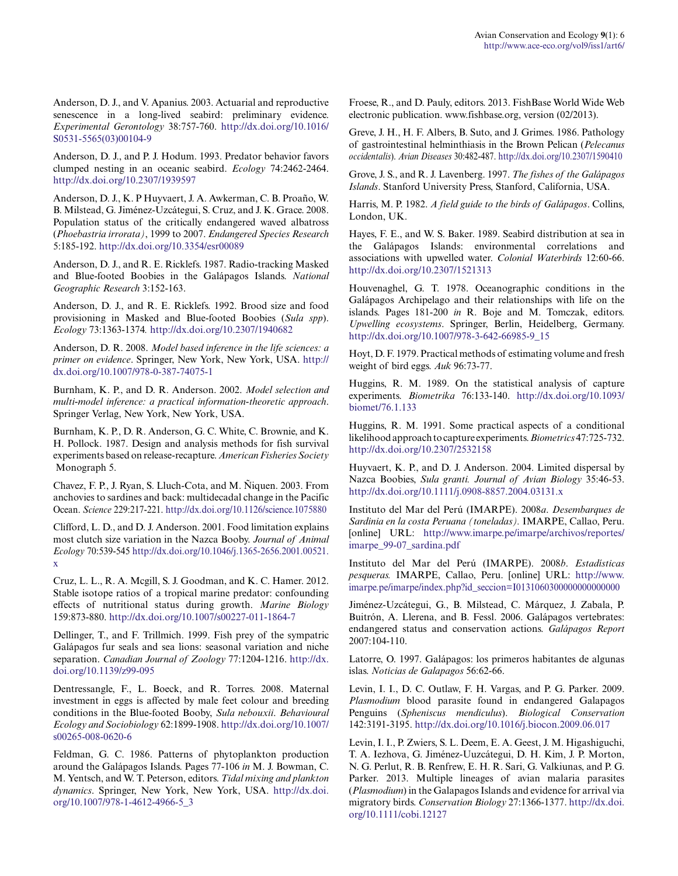Anderson, D. J., and V. Apanius. 2003. Actuarial and reproductive senescence in a long-lived seabird: preliminary evidence. *Experimental Gerontology* 38:757-760. http://dx.doi.org/10.1016/ S0531-5565(03)00104-9

Anderson, D. J., and P. J. Hodum. 1993. Predator behavior favors clumped nesting in an oceanic seabird. *Ecology* 74:2462-2464. http://dx.doi.org/10.2307/1939597

Anderson, D. J., K. P Huyvaert, J. A. Awkerman, C. B. Proaño, W. B. Milstead, G. Jiménez-Uzcátegui, S. Cruz, and J. K. Grace. 2008. Population status of the critically endangered waved albatross (*Phoebastria irrorata)*, 1999 to 2007. *Endangered Species Research* 5:185-192. http://dx.doi.org/10.3354/esr00089

Anderson, D. J., and R. E. Ricklefs. 1987. Radio-tracking Masked and Blue-footed Boobies in the Galápagos Islands. *National Geographic Research* 3:152-163.

Anderson, D. J., and R. E. Ricklefs. 1992. Brood size and food provisioning in Masked and Blue-footed Boobies (*Sula spp*). *Ecology* 73:1363-1374*.* http://dx.doi.org/10.2307/1940682

Anderson, D. R. 2008. *Model based inference in the life sciences: a primer on evidence*. Springer, New York, New York, USA. http:// dx.doi.org/10.1007/978-0-387-74075-1

Burnham, K. P., and D. R. Anderson. 2002. *Model selection and multi-model inference: a practical information-theoretic approach*. Springer Verlag, New York, New York, USA.

Burnham, K. P., D. R. Anderson, G. C. White, C. Brownie, and K. H. Pollock. 1987. Design and analysis methods for fish survival experiments based on release-recapture. *American Fisheries Society* Monograph 5.

Chavez, F. P., J. Ryan, S. Lluch-Cota, and M. Ñiquen. 2003. From anchovies to sardines and back: multidecadal change in the Pacific Ocean. *Science* 229:217-221. http://dx.doi.org/10.1126/science.1075880

Clifford, L. D., and D. J. Anderson. 2001. Food limitation explains most clutch size variation in the Nazca Booby. *Journal of Animal Ecology* 70:539-545 http://dx.doi.org/10.1046/j.1365-2656.2001.00521. x

Cruz, L. L., R. A. Mcgill, S. J. Goodman, and K. C. Hamer. 2012. Stable isotope ratios of a tropical marine predator: confounding effects of nutritional status during growth. *Marine Biology* 159:873-880. http://dx.doi.org/10.1007/s00227-011-1864-7

Dellinger, T., and F. Trillmich. 1999. Fish prey of the sympatric Galápagos fur seals and sea lions: seasonal variation and niche separation. *Canadian Journal of Zoology* 77:1204-1216. http://dx. doi.org/10.1139/z99-095

Dentressangle, F., L. Boeck, and R. Torres. 2008. Maternal investment in eggs is affected by male feet colour and breeding conditions in the Blue-footed Booby, *Sula nebouxii*. *Behavioural Ecology and Sociobiology* 62:1899-1908. http://dx.doi.org/10.1007/ s00265-008-0620-6

Feldman, G. C. 1986. Patterns of phytoplankton production around the Galápagos Islands. Pages 77-106 *in* M. J. Bowman, C. M. Yentsch, and W. T. Peterson, editors. *Tidal mixing and plankton dynamics*. Springer, New York, New York, USA. http://dx.doi. org/10.1007/978-1-4612-4966-5\_3

Froese, R., and D. Pauly, editors. 2013. FishBase World Wide Web electronic publication. www.fishbase.org, version (02/2013).

Greve, J. H., H. F. Albers, B. Suto, and J. Grimes. 1986. Pathology of gastrointestinal helminthiasis in the Brown Pelican (*Pelecanus occidentalis*). *Avian Diseases* 30:482-487. http://dx.doi.org/10.2307/1590410

Grove, J. S., and R. J. Lavenberg. 1997. *The fishes of the Galápagos Islands*. Stanford University Press, Stanford, California, USA.

Harris, M. P. 1982. *A field guide to the birds of Galápagos*. Collins, London, UK.

Hayes, F. E., and W. S. Baker. 1989. Seabird distribution at sea in the Galápagos Islands: environmental correlations and associations with upwelled water. *Colonial Waterbirds* 12:60-66. http://dx.doi.org/10.2307/1521313

Houvenaghel, G. T. 1978. Oceanographic conditions in the Galápagos Archipelago and their relationships with life on the islands. Pages 181-200 *in* R. Boje and M. Tomczak, editors. *Upwelling ecosystems*. Springer, Berlin, Heidelberg, Germany. http://dx.doi.org/10.1007/978-3-642-66985-9\_15

Hoyt, D. F. 1979. Practical methods of estimating volume and fresh weight of bird eggs. *Auk* 96:73-77.

Huggins, R. M. 1989. On the statistical analysis of capture experiments. *Biometrika* 76:133-140. http://dx.doi.org/10.1093/ biomet/76.1.133

Huggins, R. M. 1991. Some practical aspects of a conditional likelihood approach to capture experiments. *Biometrics* 47:725-732. http://dx.doi.org/10.2307/2532158

Huyvaert, K. P., and D. J. Anderson. 2004. Limited dispersal by Nazca Boobies, *Sula granti. Journal of Avian Biology* 35:46-53. http://dx.doi.org/10.1111/j.0908-8857.2004.03131.x

Instituto del Mar del Perú (IMARPE). 2008*a*. *Desembarques de Sardinia en la costa Peruana (toneladas).* IMARPE, Callao, Peru. [online] URL: http://www.imarpe.pe/imarpe/archivos/reportes/ imarpe\_99-07\_sardina.pdf

Instituto del Mar del Perú (IMARPE). 2008*b*. *Estadísticas pesqueras.* IMARPE, Callao, Peru. [online] URL: http://www. imarpe.pe/imarpe/index.php?id\_seccion=I0131060300000000000000

Jiménez-Uzcátegui, G., B. Milstead, C. Márquez, J. Zabala, P. Buitrón, A. Llerena, and B. Fessl. 2006. Galápagos vertebrates: endangered status and conservation actions. *Galápagos Report* 2007:104-110.

Latorre, O. 1997. Galápagos: los primeros habitantes de algunas islas. *Noticias de Galapagos* 56:62-66.

Levin, I. I., D. C. Outlaw, F. H. Vargas, and P. G. Parker. 2009. *Plasmodium* blood parasite found in endangered Galapagos Penguins (*Spheniscus mendiculus*). *Biological Conservation* 142:3191-3195. http://dx.doi.org/10.1016/j.biocon.2009.06.017

Levin, I. I., P. Zwiers, S. L. Deem, E. A. Geest, J. M. Higashiguchi, T. A. Iezhova, G. Jiménez-Uuzcátegui, D. H. Kim, J. P. Morton, N. G. Perlut, R. B. Renfrew, E. H. R. Sari, G. Valkiunas, and P. G. Parker. 2013. Multiple lineages of avian malaria parasites (*Plasmodium*) in the Galapagos Islands and evidence for arrival via migratory birds. *Conservation Biology* 27:1366-1377. http://dx.doi. org/10.1111/cobi.12127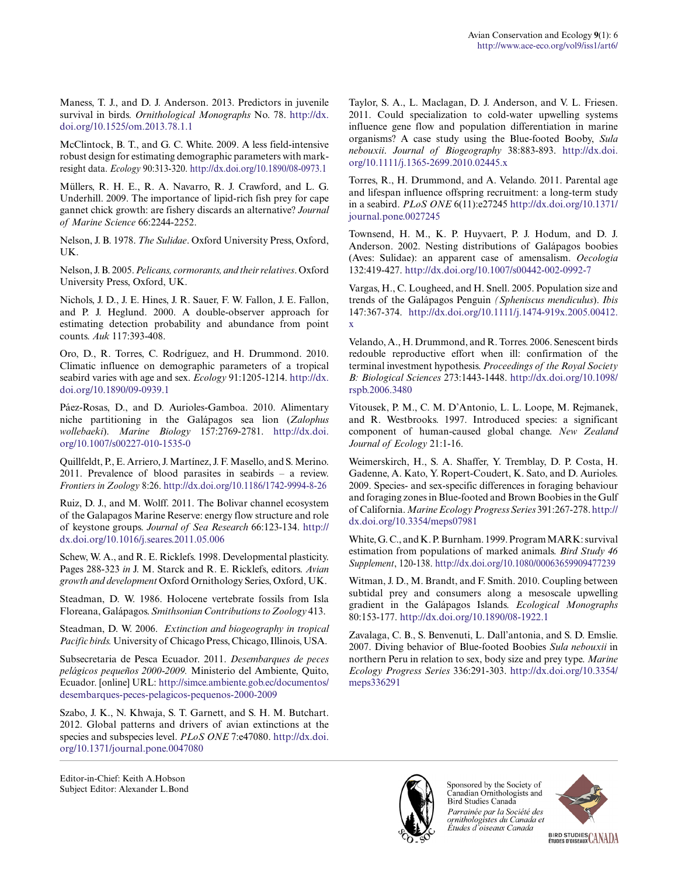Maness, T. J., and D. J. Anderson. 2013. Predictors in juvenile survival in birds. *Ornithological Monographs* No. 78. http://dx. doi.org/10.1525/om.2013.78.1.1

McClintock, B. T., and G. C. White. 2009. A less field-intensive robust design for estimating demographic parameters with markresight data. *Ecology* 90:313-320. http://dx.doi.org/10.1890/08-0973.1

Müllers, R. H. E., R. A. Navarro, R. J. Crawford, and L. G. Underhill. 2009. The importance of lipid-rich fish prey for cape gannet chick growth: are fishery discards an alternative? *Journal of Marine Science* 66:2244-2252.

Nelson, J. B. 1978. *The Sulidae*. Oxford University Press, Oxford, UK.

Nelson, J. B. 2005. *Pelicans, cormorants, and their relatives*. Oxford University Press, Oxford, UK.

Nichols, J. D., J. E. Hines, J. R. Sauer, F. W. Fallon, J. E. Fallon, and P. J. Heglund. 2000. A double-observer approach for estimating detection probability and abundance from point counts. *Auk* 117:393-408.

Oro, D., R. Torres, C. Rodríguez, and H. Drummond. 2010. Climatic influence on demographic parameters of a tropical seabird varies with age and sex. *Ecology* 91:1205-1214. http://dx. doi.org/10.1890/09-0939.1

Páez-Rosas, D., and D. Aurioles-Gamboa. 2010. Alimentary niche partitioning in the Galápagos sea lion (*Zalophus wollebaeki*). *Marine Biology* 157:2769-2781. http://dx.doi. org/10.1007/s00227-010-1535-0

Quillfeldt, P., E. Arriero, J. Martínez, J. F. Masello, and S. Merino. 2011. Prevalence of blood parasites in seabirds – a review. *Frontiers in Zoology* 8:26. http://dx.doi.org/10.1186/1742-9994-8-26

Ruiz, D. J., and M. Wolff. 2011. The Bolivar channel ecosystem of the Galapagos Marine Reserve: energy flow structure and role of keystone groups. *Journal of Sea Research* 66:123-134. http:// dx.doi.org/10.1016/j.seares.2011.05.006

Schew, W. A., and R. E. Ricklefs. 1998. Developmental plasticity. Pages 288-323 *in* J. M. Starck and R. E. Ricklefs, editors. *Avian growth and development* Oxford Ornithology Series, Oxford, UK.

Steadman, D. W. 1986. Holocene vertebrate fossils from Isla Floreana, Galápagos. *Smithsonian Contributions to Zoology* 413.

Steadman, D. W. 2006. *Extinction and biogeography in tropical Pacific birds.* University of Chicago Press, Chicago, Illinois, USA.

Subsecretaria de Pesca Ecuador. 2011. *Desembarques de peces pelágicos pequeños 2000-2009.* Ministerio del Ambiente, Quito, Ecuador. [online] URL: http://simce.ambiente.gob.ec/documentos/ desembarques-peces-pelagicos-pequenos-2000-2009

Szabo, J. K., N. Khwaja, S. T. Garnett, and S. H. M. Butchart. 2012. Global patterns and drivers of avian extinctions at the species and subspecies level. *PLoS ONE* 7:e47080. http://dx.doi. org/10.1371/journal.pone.0047080

Editor-in-Chief: Keith A.Hobson Subject Editor: Alexander L.Bond Taylor, S. A., L. Maclagan, D. J. Anderson, and V. L. Friesen. 2011. Could specialization to cold-water upwelling systems influence gene flow and population differentiation in marine organisms? A case study using the Blue-footed Booby, *Sula nebouxii*. *Journal of Biogeography* 38:883-893. http://dx.doi. org/10.1111/j.1365-2699.2010.02445.x

Torres, R., H. Drummond, and A. Velando. 2011. Parental age and lifespan influence offspring recruitment: a long-term study in a seabird. *PLoS ONE* 6(11):e27245 http://dx.doi.org/10.1371/ journal.pone.0027245

Townsend, H. M., K. P. Huyvaert, P. J. Hodum, and D. J. Anderson. 2002. Nesting distributions of Galápagos boobies (Aves: Sulidae): an apparent case of amensalism. *Oecologia* 132:419-427. http://dx.doi.org/10.1007/s00442-002-0992-7

Vargas, H., C. Lougheed, and H. Snell. 2005. Population size and trends of the Galápagos Penguin *(Spheniscus mendiculus*). *Ibis* 147:367-374. http://dx.doi.org/10.1111/j.1474-919x.2005.00412. x

Velando, A., H. Drummond, and R. Torres. 2006. Senescent birds redouble reproductive effort when ill: confirmation of the terminal investment hypothesis. *Proceedings of the Royal Society B: Biological Sciences* 273:1443-1448. http://dx.doi.org/10.1098/ rspb.2006.3480

Vitousek, P. M., C. M. D'Antonio, L. L. Loope, M. Rejmanek, and R. Westbrooks. 1997. Introduced species: a significant component of human-caused global change. *New Zealand Journal of Ecology* 21:1-16.

Weimerskirch, H., S. A. Shaffer, Y. Tremblay, D. P. Costa, H. Gadenne, A. Kato, Y. Ropert-Coudert, K. Sato, and D. Aurioles. 2009. Species- and sex-specific differences in foraging behaviour and foraging zones in Blue-footed and Brown Boobies in the Gulf of California. *Marine Ecology Progress Series* 391:267-278. http:// dx.doi.org/10.3354/meps07981

White, G. C., and K. P. Burnham. 1999. Program MARK: survival estimation from populations of marked animals. *Bird Study 46 Supplement*, 120-138. http://dx.doi.org/10.1080/00063659909477239

Witman, J. D., M. Brandt, and F. Smith. 2010. Coupling between subtidal prey and consumers along a mesoscale upwelling gradient in the Galápagos Islands. *Ecological Monographs* 80:153-177. http://dx.doi.org/10.1890/08-1922.1

Zavalaga, C. B., S. Benvenuti, L. Dall'antonia, and S. D. Emslie. 2007. Diving behavior of Blue-footed Boobies *Sula nebouxii* in northern Peru in relation to sex, body size and prey type. *Marine Ecology Progress Series* 336:291-303. http://dx.doi.org/10.3354/ meps336291



Sponsored by the Society of Canadian Ornithologists and Bird Studies Canada Parrainée par la Société des ornithologistes du Canada et Études d'oiseaux Canada



BIRD STUDIES CANADA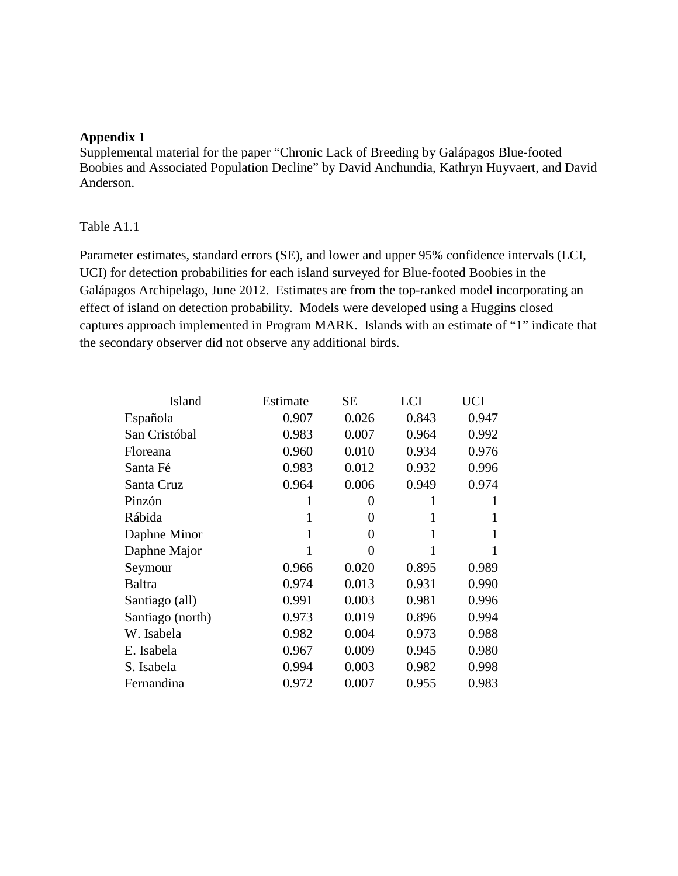# **Appendix 1**

Supplemental material for the paper "Chronic Lack of Breeding by Galápagos Blue-footed Boobies and Associated Population Decline" by David Anchundia, Kathryn Huyvaert, and David Anderson.

# Table A1.1

Parameter estimates, standard errors (SE), and lower and upper 95% confidence intervals (LCI, UCI) for detection probabilities for each island surveyed for Blue-footed Boobies in the Galápagos Archipelago, June 2012. Estimates are from the top-ranked model incorporating an effect of island on detection probability. Models were developed using a Huggins closed captures approach implemented in Program MARK. Islands with an estimate of "1" indicate that the secondary observer did not observe any additional birds.

| Island           | Estimate | <b>SE</b> | LCI   | UCI   |
|------------------|----------|-----------|-------|-------|
| Española         | 0.907    | 0.026     | 0.843 | 0.947 |
| San Cristóbal    | 0.983    | 0.007     | 0.964 | 0.992 |
| Floreana         | 0.960    | 0.010     | 0.934 | 0.976 |
| Santa Fé         | 0.983    | 0.012     | 0.932 | 0.996 |
| Santa Cruz       | 0.964    | 0.006     | 0.949 | 0.974 |
| Pinzón           | 1        | 0         |       |       |
| Rábida           | 1        | $\Omega$  | 1     |       |
| Daphne Minor     | 1        | 0         | 1     |       |
| Daphne Major     | 1        | 0         |       |       |
| Seymour          | 0.966    | 0.020     | 0.895 | 0.989 |
| Baltra           | 0.974    | 0.013     | 0.931 | 0.990 |
| Santiago (all)   | 0.991    | 0.003     | 0.981 | 0.996 |
| Santiago (north) | 0.973    | 0.019     | 0.896 | 0.994 |
| W. Isabela       | 0.982    | 0.004     | 0.973 | 0.988 |
| E. Isabela       | 0.967    | 0.009     | 0.945 | 0.980 |
| S. Isabela       | 0.994    | 0.003     | 0.982 | 0.998 |
| Fernandina       | 0.972    | 0.007     | 0.955 | 0.983 |